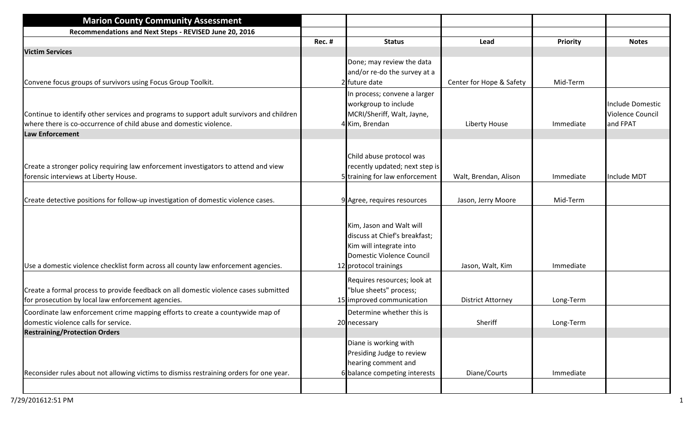| <b>Marion County Community Assessment</b>                                                |        |                                |                          |                 |                         |
|------------------------------------------------------------------------------------------|--------|--------------------------------|--------------------------|-----------------|-------------------------|
| Recommendations and Next Steps - REVISED June 20, 2016                                   |        |                                |                          |                 |                         |
|                                                                                          | Rec. # | <b>Status</b>                  | Lead                     | <b>Priority</b> | <b>Notes</b>            |
| <b>Victim Services</b>                                                                   |        |                                |                          |                 |                         |
|                                                                                          |        | Done; may review the data      |                          |                 |                         |
|                                                                                          |        | and/or re-do the survey at a   |                          |                 |                         |
| Convene focus groups of survivors using Focus Group Toolkit.                             |        | 2 future date                  | Center for Hope & Safety | Mid-Term        |                         |
|                                                                                          |        | In process; convene a larger   |                          |                 |                         |
|                                                                                          |        | workgroup to include           |                          |                 | <b>Include Domestic</b> |
| Continue to identify other services and programs to support adult survivors and children |        | MCRI/Sheriff, Walt, Jayne,     |                          |                 | <b>Violence Council</b> |
| where there is co-occurrence of child abuse and domestic violence.                       |        | 4 Kim, Brendan                 | Liberty House            | Immediate       | and FPAT                |
| <b>Law Enforcement</b>                                                                   |        |                                |                          |                 |                         |
|                                                                                          |        |                                |                          |                 |                         |
|                                                                                          |        | Child abuse protocol was       |                          |                 |                         |
| Create a stronger policy requiring law enforcement investigators to attend and view      |        | recently updated; next step is |                          |                 |                         |
| forensic interviews at Liberty House.                                                    |        | 5 training for law enforcement | Walt, Brendan, Alison    | Immediate       | <b>Include MDT</b>      |
|                                                                                          |        |                                |                          |                 |                         |
| Create detective positions for follow-up investigation of domestic violence cases.       |        | 9 Agree, requires resources    | Jason, Jerry Moore       | Mid-Term        |                         |
|                                                                                          |        |                                |                          |                 |                         |
|                                                                                          |        |                                |                          |                 |                         |
|                                                                                          |        | Kim, Jason and Walt will       |                          |                 |                         |
|                                                                                          |        | discuss at Chief's breakfast;  |                          |                 |                         |
|                                                                                          |        | Kim will integrate into        |                          |                 |                         |
|                                                                                          |        | Domestic Violence Council      |                          |                 |                         |
| Use a domestic violence checklist form across all county law enforcement agencies.       |        | 12 protocol trainings          | Jason, Walt, Kim         | Immediate       |                         |
|                                                                                          |        | Requires resources; look at    |                          |                 |                         |
| Create a formal process to provide feedback on all domestic violence cases submitted     |        | 'blue sheets" process;         |                          |                 |                         |
| for prosecution by local law enforcement agencies.                                       |        | 15 improved communication      | <b>District Attorney</b> | Long-Term       |                         |
| Coordinate law enforcement crime mapping efforts to create a countywide map of           |        | Determine whether this is      |                          |                 |                         |
| domestic violence calls for service.                                                     |        | 20 necessary                   | Sheriff                  | Long-Term       |                         |
| <b>Restraining/Protection Orders</b>                                                     |        |                                |                          |                 |                         |
|                                                                                          |        | Diane is working with          |                          |                 |                         |
|                                                                                          |        | Presiding Judge to review      |                          |                 |                         |
|                                                                                          |        | hearing comment and            |                          |                 |                         |
| Reconsider rules about not allowing victims to dismiss restraining orders for one year.  |        | 6 balance competing interests  | Diane/Courts             | Immediate       |                         |
|                                                                                          |        |                                |                          |                 |                         |
|                                                                                          |        |                                |                          |                 |                         |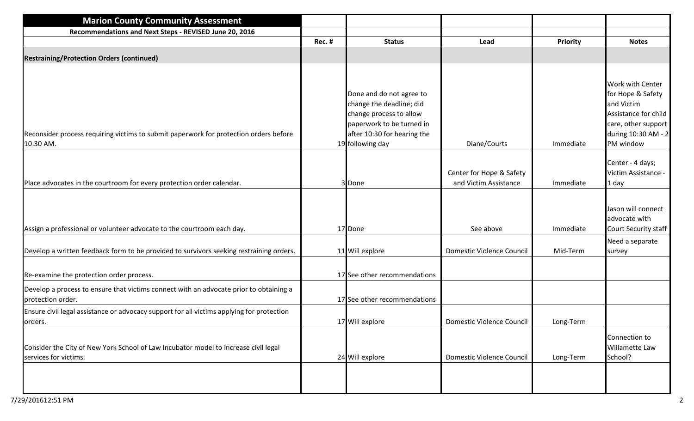| <b>Marion County Community Assessment</b>                                                                                                                         |               |                                                                                                                                                                 |                                                   |                       |                                                                                                                                                 |
|-------------------------------------------------------------------------------------------------------------------------------------------------------------------|---------------|-----------------------------------------------------------------------------------------------------------------------------------------------------------------|---------------------------------------------------|-----------------------|-------------------------------------------------------------------------------------------------------------------------------------------------|
| Recommendations and Next Steps - REVISED June 20, 2016                                                                                                            |               |                                                                                                                                                                 |                                                   |                       |                                                                                                                                                 |
|                                                                                                                                                                   | <b>Rec. #</b> | <b>Status</b>                                                                                                                                                   | Lead                                              | Priority              | <b>Notes</b>                                                                                                                                    |
| <b>Restraining/Protection Orders (continued)</b>                                                                                                                  |               |                                                                                                                                                                 |                                                   |                       |                                                                                                                                                 |
| Reconsider process requiring victims to submit paperwork for protection orders before<br>10:30 AM.                                                                |               | Done and do not agree to<br>change the deadline; did<br>change process to allow<br>paperwork to be turned in<br>after 10:30 for hearing the<br>19 following day | Diane/Courts                                      | Immediate             | <b>Work with Center</b><br>for Hope & Safety<br>and Victim<br>Assistance for child<br>care, other support  <br>during 10:30 AM - 2<br>PM window |
| Place advocates in the courtroom for every protection order calendar.                                                                                             |               | 3 Done                                                                                                                                                          | Center for Hope & Safety<br>and Victim Assistance | Immediate             | Center - 4 days;<br>Victim Assistance -<br>1 day                                                                                                |
| Assign a professional or volunteer advocate to the courtroom each day.<br>Develop a written feedback form to be provided to survivors seeking restraining orders. |               | 17 Done<br>11 Will explore                                                                                                                                      | See above<br><b>Domestic Violence Council</b>     | Immediate<br>Mid-Term | Jason will connect<br>advocate with<br>Court Security staff<br>Need a separate                                                                  |
| Re-examine the protection order process.                                                                                                                          |               | 17 See other recommendations                                                                                                                                    |                                                   |                       | survey                                                                                                                                          |
| Develop a process to ensure that victims connect with an advocate prior to obtaining a<br>protection order.                                                       |               | 17 See other recommendations                                                                                                                                    |                                                   |                       |                                                                                                                                                 |
| Ensure civil legal assistance or advocacy support for all victims applying for protection<br>orders.                                                              |               | 17 Will explore                                                                                                                                                 | Domestic Violence Council                         | Long-Term             |                                                                                                                                                 |
| Consider the City of New York School of Law Incubator model to increase civil legal<br>services for victims.                                                      |               | 24 Will explore                                                                                                                                                 | Domestic Violence Council                         | Long-Term             | Connection to<br>Willamette Law<br>School?                                                                                                      |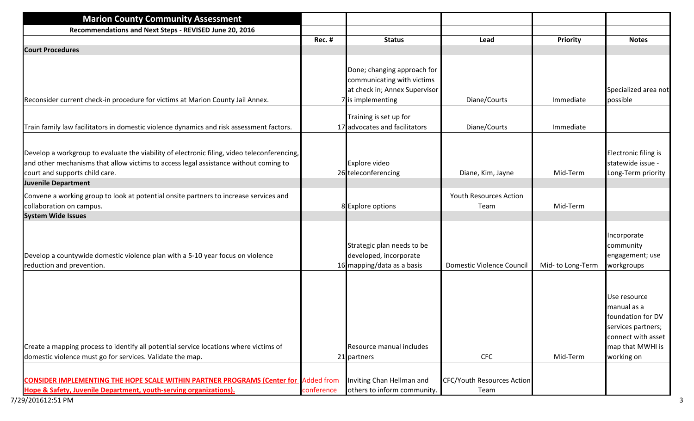| Rec. # | <b>Status</b>                                                                                                                                                                                           | Lead                                                                                                                                                                       | Priority                                                      | <b>Notes</b>                                                                                                     |
|--------|---------------------------------------------------------------------------------------------------------------------------------------------------------------------------------------------------------|----------------------------------------------------------------------------------------------------------------------------------------------------------------------------|---------------------------------------------------------------|------------------------------------------------------------------------------------------------------------------|
|        |                                                                                                                                                                                                         |                                                                                                                                                                            |                                                               |                                                                                                                  |
|        | Done; changing approach for<br>communicating with victims<br>at check in; Annex Supervisor                                                                                                              |                                                                                                                                                                            |                                                               | Specialized area not<br>possible                                                                                 |
|        |                                                                                                                                                                                                         |                                                                                                                                                                            |                                                               |                                                                                                                  |
|        | Training is set up for                                                                                                                                                                                  | Diane/Courts                                                                                                                                                               | Immediate                                                     |                                                                                                                  |
|        | Explore video                                                                                                                                                                                           | Diane, Kim, Jayne                                                                                                                                                          | Mid-Term                                                      | Electronic filing is<br>statewide issue -<br>Long-Term priority                                                  |
|        |                                                                                                                                                                                                         |                                                                                                                                                                            |                                                               |                                                                                                                  |
|        |                                                                                                                                                                                                         |                                                                                                                                                                            |                                                               |                                                                                                                  |
|        |                                                                                                                                                                                                         |                                                                                                                                                                            |                                                               |                                                                                                                  |
|        | Strategic plan needs to be<br>developed, incorporate                                                                                                                                                    | Domestic Violence Council                                                                                                                                                  | Mid-to Long-Term                                              | Incorporate<br>community<br>engagement; use<br>workgroups                                                        |
|        | Resource manual includes                                                                                                                                                                                |                                                                                                                                                                            |                                                               | Use resource<br>manual as a<br>foundation for DV<br>services partners;<br>connect with asset<br>map that MWHI is |
|        |                                                                                                                                                                                                         | <b>CFC</b>                                                                                                                                                                 | Mid-Term                                                      | working on                                                                                                       |
|        | Inviting Chan Hellman and                                                                                                                                                                               | <b>CFC/Youth Resources Action</b>                                                                                                                                          |                                                               |                                                                                                                  |
|        | Develop a workgroup to evaluate the viability of electronic filing, video teleconferencing,<br><b>CONSIDER IMPLEMENTING THE HOPE SCALE WITHIN PARTNER PROGRAMS (Center for Added from</b><br>conference | 7 is implementing<br>17 advocates and facilitators<br>26 teleconferencing<br>8 Explore options<br>16 mapping/data as a basis<br>21 partners<br>others to inform community. | Diane/Courts<br><b>Youth Resources Action</b><br>Team<br>Team | Immediate<br>Mid-Term                                                                                            |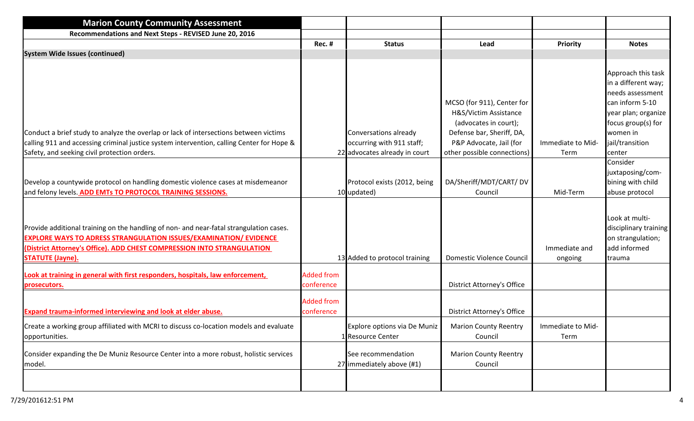| Rec. #                          | <b>Status</b>                                      | Lead                                                                                                                                 | Priority                  | <b>Notes</b>                                                                                                                                                 |
|---------------------------------|----------------------------------------------------|--------------------------------------------------------------------------------------------------------------------------------------|---------------------------|--------------------------------------------------------------------------------------------------------------------------------------------------------------|
|                                 |                                                    |                                                                                                                                      |                           |                                                                                                                                                              |
|                                 | Conversations already<br>occurring with 911 staff; | MCSO (for 911), Center for<br>H&S/Victim Assistance<br>(advocates in court);<br>Defense bar, Sheriff, DA,<br>P&P Advocate, Jail (for | Immediate to Mid-         | Approach this task<br>in a different way;<br>needs assessment<br>can inform 5-10<br>year plan; organize<br>focus group(s) for<br>women in<br>jail/transition |
|                                 |                                                    | other possible connections)                                                                                                          | Term                      | center                                                                                                                                                       |
|                                 | Protocol exists (2012, being                       | DA/Sheriff/MDT/CART/DV<br>Council                                                                                                    | Mid-Term                  | Consider<br>juxtaposing/com-<br>bining with child<br>abuse protocol                                                                                          |
|                                 |                                                    | <b>Domestic Violence Council</b>                                                                                                     | Immediate and<br>ongoing  | Look at multi-<br>disciplinary training<br>on strangulation;<br>add informed<br>trauma                                                                       |
| <b>Added from</b><br>conference |                                                    | <b>District Attorney's Office</b>                                                                                                    |                           |                                                                                                                                                              |
| <b>Added from</b><br>conference |                                                    | <b>District Attorney's Office</b>                                                                                                    |                           |                                                                                                                                                              |
|                                 | Explore options via De Muniz                       | <b>Marion County Reentry</b><br>Council                                                                                              | Immediate to Mid-<br>Term |                                                                                                                                                              |
|                                 | See recommendation                                 | <b>Marion County Reentry</b><br>Council                                                                                              |                           |                                                                                                                                                              |
|                                 |                                                    | 22 advocates already in court<br>10 updated)<br>13 Added to protocol training<br>1 Resource Center<br>27 immediately above (#1)      |                           |                                                                                                                                                              |